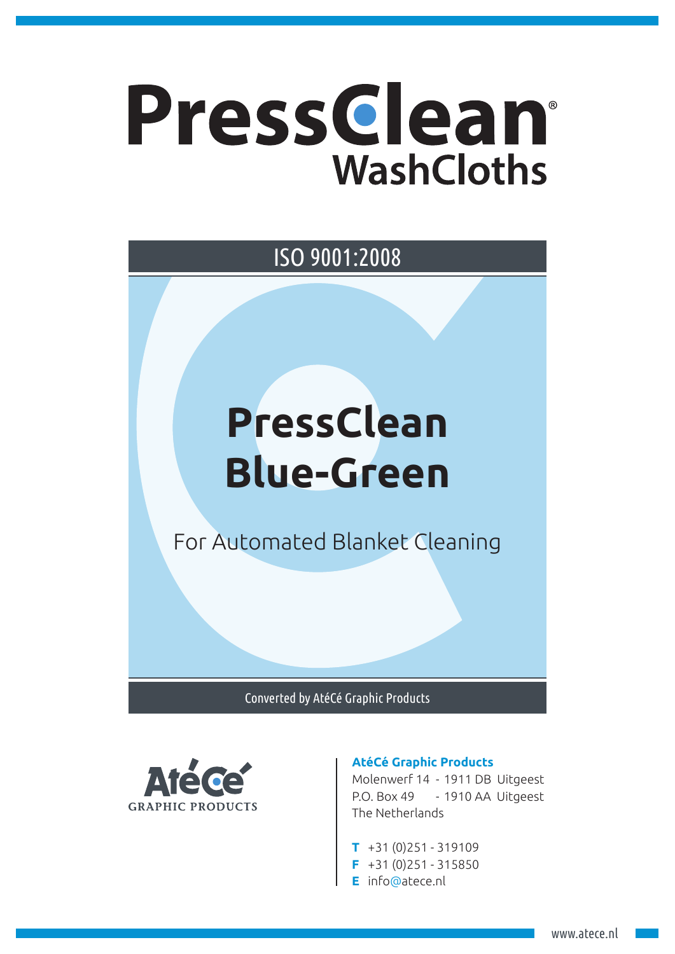# Pressclean® **WashCloths**

## ISO 9001:2008

## **PressClean Blue-Green**

For Automated Blanket Cleaning

Converted by AtéCé Graphic Products



#### **AtéCé Graphic Products**

Molenwerf 14 - 1911 DB Uitgeest P.O. Box 49 - 1910 AA Uitgeest The Netherlands

- **T** +31 (0)251 319109
- **F** +31 (0)251 315850
- **E** info@atece.nl